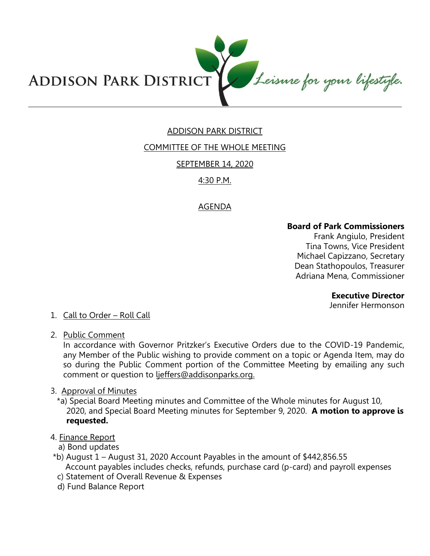

# ADDISON PARK DISTRICT

### COMMITTEE OF THE WHOLE MEETING

SEPTEMBER 14, 2020

### 4:30 P.M.

# AGENDA

### **Board of Park Commissioners**

Frank Angiulo, President Tina Towns, Vice President Michael Capizzano, Secretary Dean Stathopoulos, Treasurer Adriana Mena, Commissioner

#### **Executive Director**

Jennifer Hermonson

#### 1. Call to Order – Roll Call

2. Public Comment

In accordance with Governor Pritzker's Executive Orders due to the COVID-19 Pandemic, any Member of the Public wishing to provide comment on a topic or Agenda Item, may do so during the Public Comment portion of the Committee Meeting by emailing any such comment or question to ljeffers@addisonparks.org.

#### 3. Approval of Minutes

\*a) Special Board Meeting minutes and Committee of the Whole minutes for August 10, 2020, and Special Board Meeting minutes for September 9, 2020. **A motion to approve is requested.** 

#### 4. Finance Report

- a) Bond updates
- \*b) August 1 August 31, 2020 Account Payables in the amount of \$442,856.55 Account payables includes checks, refunds, purchase card (p-card) and payroll expenses
- c) Statement of Overall Revenue & Expenses
- d) Fund Balance Report